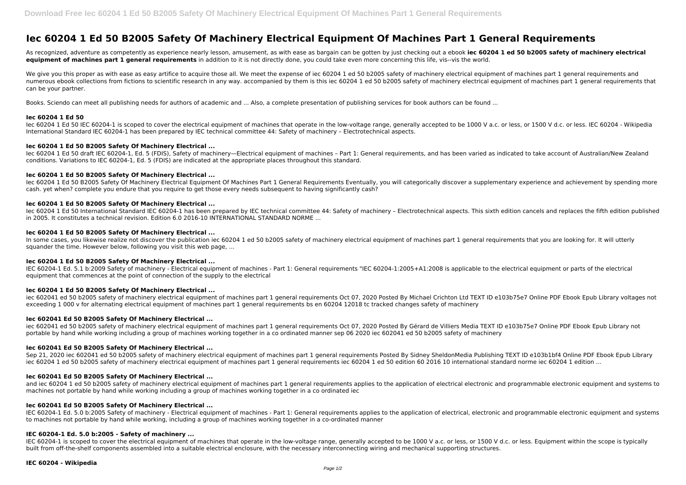# **Iec 60204 1 Ed 50 B2005 Safety Of Machinery Electrical Equipment Of Machines Part 1 General Requirements**

As recognized, adventure as competently as experience nearly lesson, amusement, as with ease as bargain can be gotten by just checking out a ebook **iec 60204 1 ed 50 b2005 safety of machinery electrical equipment of machines part 1 general requirements** in addition to it is not directly done, you could take even more concerning this life, vis--vis the world.

We give you this proper as with ease as easy artifice to acquire those all. We meet the expense of iec 60204 1 ed 50 b2005 safety of machinery electrical equipment of machines part 1 general requirements and numerous ebook collections from fictions to scientific research in any way. accompanied by them is this iec 60204 1 ed 50 b2005 safety of machinery electrical equipment of machines part 1 general requirements that can be your partner.

Books. Sciendo can meet all publishing needs for authors of academic and ... Also, a complete presentation of publishing services for book authors can be found ...

lec 60204 1 Ed 50 B2005 Safety Of Machinery Electrical Equipment Of Machines Part 1 General Requirements Eventually, you will categorically discover a supplementary experience and achievement by spending more cash. yet when? complete you endure that you require to get those every needs subsequent to having significantly cash?

# **Iec 60204 1 Ed 50**

Iec 60204 1 Ed 50 IEC 60204-1 is scoped to cover the electrical equipment of machines that operate in the low-voltage range, generally accepted to be 1000 V a.c. or less, or 1500 V d.c. or less. IEC 60204 - Wikipedia International Standard IEC 60204-1 has been prepared by IEC technical committee 44: Safety of machinery – Electrotechnical aspects.

In some cases, you likewise realize not discover the publication iec 60204 1 ed 50 b2005 safety of machinery electrical equipment of machines part 1 general requirements that you are looking for. It will utterly squander the time. However below, following you visit this web page, ...

# **Iec 60204 1 Ed 50 B2005 Safety Of Machinery Electrical ...**

Iec 60204 1 Ed 50 draft IEC 60204-1, Ed. 5 (FDIS), Safety of machinery—Electrical equipment of machines – Part 1: General requirements, and has been varied as indicated to take account of Australian/New Zealand conditions. Variations to IEC 60204-1, Ed. 5 (FDIS) are indicated at the appropriate places throughout this standard.

# **Iec 60204 1 Ed 50 B2005 Safety Of Machinery Electrical ...**

iec 602041 ed 50 b2005 safety of machinery electrical equipment of machines part 1 general requirements Oct 07, 2020 Posted By Gérard de Villiers Media TEXT ID e103b75e7 Online PDF Ebook Epub Library not portable by hand while working including a group of machines working together in a co ordinated manner sep 06 2020 iec 602041 ed 50 b2005 safety of machinery

Sep 21, 2020 iec 602041 ed 50 b2005 safety of machinery electrical equipment of machines part 1 general requirements Posted By Sidney SheldonMedia Publishing TEXT ID e103b1bf4 Online PDF Ebook Epub Library iec 60204 1 ed 50 b2005 safety of machinery electrical equipment of machines part 1 general requirements iec 60204 1 ed 50 edition 60 2016 10 international standard norme iec 60204 1 edition ...

# **Iec 60204 1 Ed 50 B2005 Safety Of Machinery Electrical ...**

and iec 60204 1 ed 50 b2005 safety of machinery electrical equipment of machines part 1 general requirements applies to the application of electrical electronic and programmable electronic equipment and systems to machines not portable by hand while working including a group of machines working together in a co ordinated iec

Iec 60204 1 Ed 50 International Standard IEC 60204-1 has been prepared by IEC technical committee 44: Safety of machinery – Electrotechnical aspects. This sixth edition cancels and replaces the fifth edition published in 2005. It constitutes a technical revision. Edition 6.0 2016-10 INTERNATIONAL STANDARD NORME ...

# **Iec 60204 1 Ed 50 B2005 Safety Of Machinery Electrical ...**

IEC 60204-1 Ed. 5.0 b:2005 Safety of machinery - Electrical equipment of machines - Part 1: General requirements applies to the application of electrical, electronic and programmable electronic equipment and systems to machines not portable by hand while working, including a group of machines working together in a co-ordinated manner

IEC 60204-1 is scoped to cover the electrical equipment of machines that operate in the low-voltage range, generally accepted to be 1000 V a.c. or less, or 1500 V d.c. or less. Equipment within the scope is typically built from off-the-shelf components assembled into a suitable electrical enclosure, with the necessary interconnecting wiring and mechanical supporting structures.

# **Iec 60204 1 Ed 50 B2005 Safety Of Machinery Electrical ...**

IEC 60204-1 Ed. 5.1 b:2009 Safety of machinery - Electrical equipment of machines - Part 1: General requirements "IEC 60204-1:2005+A1:2008 is applicable to the electrical equipment or parts of the electrical equipment that commences at the point of connection of the supply to the electrical

# **Iec 60204 1 Ed 50 B2005 Safety Of Machinery Electrical ...**

iec 602041 ed 50 b2005 safety of machinery electrical equipment of machines part 1 general requirements Oct 07, 2020 Posted By Michael Crichton Ltd TEXT ID e103b75e7 Online PDF Ebook Epub Library voltages not exceeding 1 000 v for alternating electrical equipment of machines part 1 general requirements bs en 60204 12018 tc tracked changes safety of machinery

# **Iec 602041 Ed 50 B2005 Safety Of Machinery Electrical ...**

# **Iec 602041 Ed 50 B2005 Safety Of Machinery Electrical ...**

# **Iec 602041 Ed 50 B2005 Safety Of Machinery Electrical ...**

### **Iec 602041 Ed 50 B2005 Safety Of Machinery Electrical ...**

# **IEC 60204-1 Ed. 5.0 b:2005 - Safety of machinery ...**